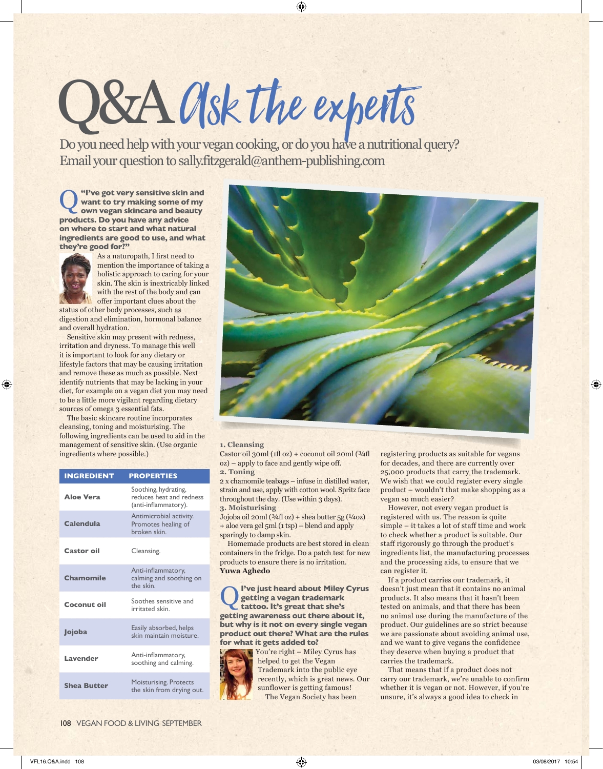# O&A Osk the experts Osyou need help with your vegan cooking, or do you have a nutritional query?

Email your question to sally.fitzgerald@anthem-publishing.com

**Q** "I've got very sensitive skin and<br>want to try making some of my<br>own vegan skincare and beauty **want to try making some of my own vegan skincare and beauty products. Do you have any advice on where to start and what natural ingredients are good to use, and what they're good for?"**



As a naturopath, I first need to mention the importance of taking a holistic approach to caring for your skin. The skin is inextricably linked with the rest of the body and can offer important clues about the

status of other body processes, such as digestion and elimination, hormonal balance and overall hydration.

Sensitive skin may present with redness, irritation and dryness. To manage this well it is important to look for any dietary or lifestyle factors that may be causing irritation and remove these as much as possible. Next identify nutrients that may be lacking in your diet, for example on a vegan diet you may need to be a little more vigilant regarding dietary sources of omega 3 essential fats.

The basic skincare routine incorporates cleansing, toning and moisturising. The following ingredients can be used to aid in the management of sensitive skin. (Use organic ingredients where possible.)

| <b>INGREDIENT</b>  | <b>PROPERTIES</b>                                                        |
|--------------------|--------------------------------------------------------------------------|
| <b>Aloe Vera</b>   | Soothing, hydrating,<br>reduces heat and redness<br>(anti-inflammatory). |
| Calendula          | Antimicrobial activity.<br>Promotes healing of<br>broken skin.           |
| <b>Castor oil</b>  | Cleansing.                                                               |
| Chamomile          | Anti-inflammatory,<br>calming and soothing on<br>the skin.               |
| Coconut oil        | Soothes sensitive and<br>irritated skin.                                 |
| Jojoba             | Easily absorbed, helps<br>skin maintain moisture.                        |
| Lavender           | Anti-inflammatory,<br>soothing and calming.                              |
| <b>Shea Butter</b> | <b>Moisturising. Protects</b><br>the skin from drying out.               |



### **1. Cleansing**

Castor oil 30ml (1fl oz) + coconut oil 20ml (3/4fl oz) – apply to face and gently wipe off . **2. Toning**

2 x chamomile teabags – infuse in distilled water, strain and use, apply with cotton wool. Spritz face throughout the day. (Use within 3 days). **3. Moisturising** 

Jojoba oil 20ml (¾fl oz) + shea butter 5g (¼oz) + aloe vera gel 5ml (1 tsp) – blend and apply sparingly to damp skin.

Homemade products are best stored in clean containers in the fridge. Do a patch test for new products to ensure there is no irritation. **Yuwa Aghedo**

Q **I've just heard about Miley Cyrus getting a vegan trademark tattoo. It's great that she's getting awareness out there about it, but why is it not on every single vegan product out there? What are the rules for what it gets added to?**



You're right – Miley Cyrus has helped to get the Vegan Trademark into the public eye recently, which is great news. Our sunflower is getting famous! The Vegan Society has been

registering products as suitable for vegans for decades, and there are currently over 25,000 products that carry the trademark. We wish that we could register every single product – wouldn't that make shopping as a vegan so much easier?

However, not every vegan product is registered with us. The reason is quite simple – it takes a lot of staff time and work to check whether a product is suitable. Our staff rigorously go through the product's ingredients list, the manufacturing processes and the processing aids, to ensure that we can register it.

If a product carries our trademark, it doesn't just mean that it contains no animal products. It also means that it hasn't been tested on animals, and that there has been no animal use during the manufacture of the product. Our guidelines are so strict because we are passionate about avoiding animal use, and we want to give vegans the confidence they deserve when buying a product that carries the trademark.

That means that if a product does not carry our trademark, we're unable to confirm whether it is vegan or not. However, if you're unsure, it's always a good idea to check in